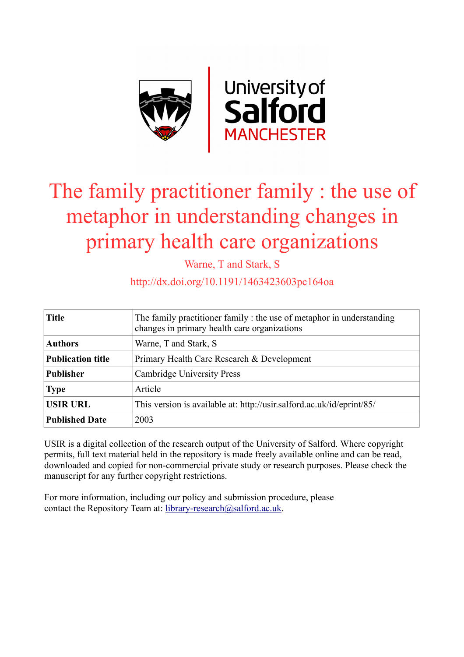

# The family practitioner family : the use of metaphor in understanding changes in primary health care organizations

Warne, T and Stark, S

### http://dx.doi.org/10.1191/1463423603pc164oa

| <b>Title</b>             | The family practitioner family : the use of metaphor in understanding<br>changes in primary health care organizations |
|--------------------------|-----------------------------------------------------------------------------------------------------------------------|
| <b>Authors</b>           | Warne, T and Stark, S                                                                                                 |
| <b>Publication title</b> | Primary Health Care Research & Development                                                                            |
| <b>Publisher</b>         | Cambridge University Press                                                                                            |
| <b>Type</b>              | Article                                                                                                               |
| <b>USIR URL</b>          | This version is available at: http://usir.salford.ac.uk/id/eprint/85/                                                 |
| <b>Published Date</b>    | 2003                                                                                                                  |

USIR is a digital collection of the research output of the University of Salford. Where copyright permits, full text material held in the repository is made freely available online and can be read, downloaded and copied for non-commercial private study or research purposes. Please check the manuscript for any further copyright restrictions.

For more information, including our policy and submission procedure, please contact the Repository Team at: [library-research@salford.ac.uk.](mailto:library-research@salford.ac.uk)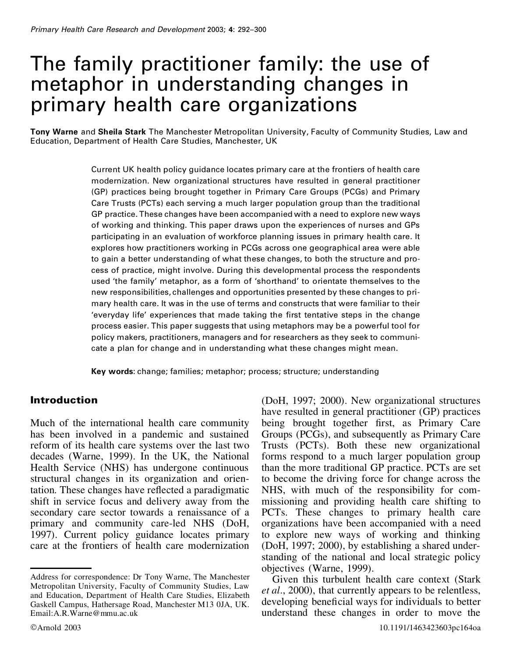## The family practitioner family: the use of metaphor in understanding changes in primary health care organizations

**Tony Warne** and **Sheila Stark** The Manchester Metropolitan University, Faculty of Community Studies, Law and Education, Department of Health Care Studies, Manchester, UK

> Current UK health policy guidance locates primary care at the frontiers of health care modernization. New organizational structures have resulted in general practitioner (GP) practices being brought together in Primary Care Groups (PCGs) and Primary Care Trusts (PCTs) each serving a much larger population group than the traditional GP practice. These changes have been accompanied with a need to explore new ways of working and thinking. This paper draws upon the experiences of nurses and GPs participating in an evaluation of workforce planning issues in primary health care. It explores how practitioners working in PCGs across one geographical area were able to gain a better understanding of what these changes, to both the structure and pro cess of practice, might involve. During this developmental process the respondents used 'the family' metaphor, as a form of 'shorthand' to orientate themselves to the new responsibilities, challenges and opportunities presented by these changes to primary health care. It was in the use of terms and constructs that were familiar to their 'everyday life' experiences that made taking the first tentative steps in the change process easier. This paper suggests that using metaphors may be a powerful tool for policy makers, practitioners, managers and for researchers as they seek to communicate a plan for change and in understanding what these changes might mean.

**Key words**: change; families; metaphor; process; structure; understanding

#### Introduction

Much of the international health care community has been involved in a pandemic and sustained reform of its health care systems over the last two decades (Warne, 1999). In the UK, the National Health Service (NHS) has undergone continuous structural changes in its organization and orientation. These changes have reflected a paradigmatic shift in service focus and delivery away from the secondary care sector towards a renaissance of a primary and community care-led NHS (DoH, 1997). Current policy guidance locates primary care at the frontiers of health care modernization

Address for correspondence: Dr Tony Warne, The Manchester Metropolitan University, Faculty of Community Studies, Law and Education, Department of Health Care Studies, Elizabeth Gaskell Campus, Hathersage Road, Manchester M13 0JA, UK. Email:A.R.Warne@mmu.ac.uk

(DoH, 1997; 2000). New organizational structures have resulted in general practitioner (GP) practices being brought together first, as Primary Care Groups (PCGs), and subsequently as Primary Care Trusts (PCTs). Both these new organizational forms respond to a much larger population group than the more traditional GP practice. PCTs are set to become the driving force for change across the NHS, with much of the responsibility for commissioning and providing health care shifting to PCTs. These changes to primary health care organizations have been accompanied with a need to explore new ways of working and thinking (DoH, 1997; 2000), by establishing a shared understanding of the national and local strategic policy objectives (Warne, 1999).

Given this turbulent health care context (Stark *et al*., 2000), that currently appears to be relentless, developing beneficial ways for individuals to better understand these changes in order to move the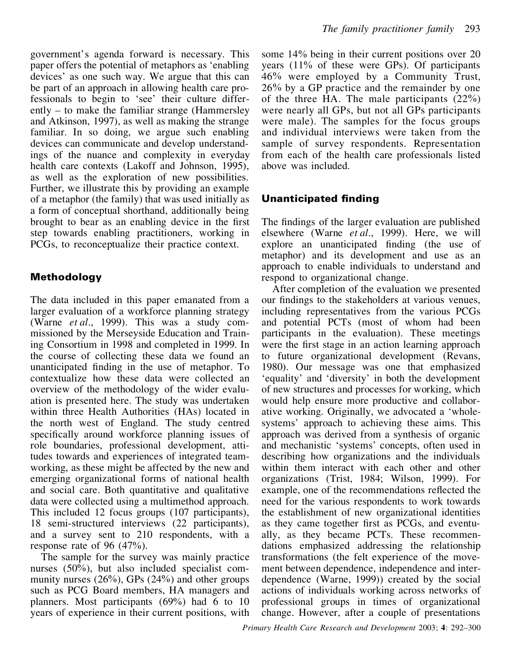be part of an approach in allowing health care professionals to begin to 'see' their culture differently – to make the familiar strange (Hammersley and Atkinson, 1997), as well as making the strange familiar. In so doing, we argue such enabling devices can communicate and develop understandings of the nuance and complexity in everyday health care contexts (Lakoff and Johnson, 1995), as well as the exploration of new possibilities. Further, we illustrate this by providing an example of a metaphor (the family) that was used initially as a form of conceptual shorthand, additionally being brought to bear as an enabling device in the first step towards enabling practitioners, working in PCGs, to reconceptualize their practice context.

#### Methodology

The data included in this paper emanated from a larger evaluation of a workforce planning strategy (Warne *et al*., 1999). This was a study commissioned by the Merseyside Education and Training Consortium in 1998 and completed in 1999. In the course of collecting these data we found an unanticipated finding in the use of metaphor. To contextualize how these data were collected an overview of the methodology of the wider evaluation is presented here. The study was undertaken within three Health Authorities (HAs) located in the north west of England. The study centred specifically around workforce planning issues of role boundaries, professional development, attitudes towards and experiences of integrated teamworking, as these might be affected by the new and emerging organizational forms of national health and social care. Both quantitative and qualitative data were collected using a multimethod approach. This included 12 focus groups (107 participants), 18 semi-structured interviews (22 participants), and a survey sent to 210 respondents, with a response rate of 96 (47%).

The sample for the survey was mainly practice nurses (50%), but also included specialist community nurses (26%), GPs (24%) and other groups such as PCG Board members, HA managers and planners. Most participants (69%) had 6 to 10 years of experience in their current positions, with

some 14% being in their current positions over 20 years (11% of these were GPs). Of participants 46% were employed by a Community Trust, 26% by a GP practice and the remainder by one of the three HA. The male participants (22%) were nearly all GPs, but not all GPs participants were male). The samples for the focus groups and individual interviews were taken from the sample of survey respondents. Representation from each of the health care professionals listed above was included.

#### **Unanticipated finding**

The findings of the larger evaluation are published elsewhere (Warne *et al*., 1999). Here, we will explore an unanticipated finding (the use of metaphor) and its development and use as an approach to enable individuals to understand and respond to organizational change.

After completion of the evaluation we presented our findings to the stakeholders at various venues, including representatives from the various PCGs and potential PCTs (most of whom had been participants in the evaluation). These meetings were the first stage in an action learning approach to future organizational development (Revans, 1980). Our message was one that emphasized 'equality' and 'diversity' in both the development of new structures and processes for working, which would help ensure more productive and collaborative working. Originally, we advocated a 'wholesystems' approach to achieving these aims. This approach was derived from a synthesis of organic and mechanistic 'systems' concepts, often used in describing how organizations and the individuals within them interact with each other and other organizations (Trist, 1984; Wilson, 1999). For example, one of the recommendations reflected the need for the various respondents to work towards the establishment of new organizational identities as they came together first as PCGs, and eventually, as they became PCTs. These recommendations emphasized addressing the relationship transformations (the felt experience of the movement between dependence, independence and interdependence (Warne, 1999)) created by the social actions of individuals working across networks of professional groups in times of organizational change. However, after a couple of presentations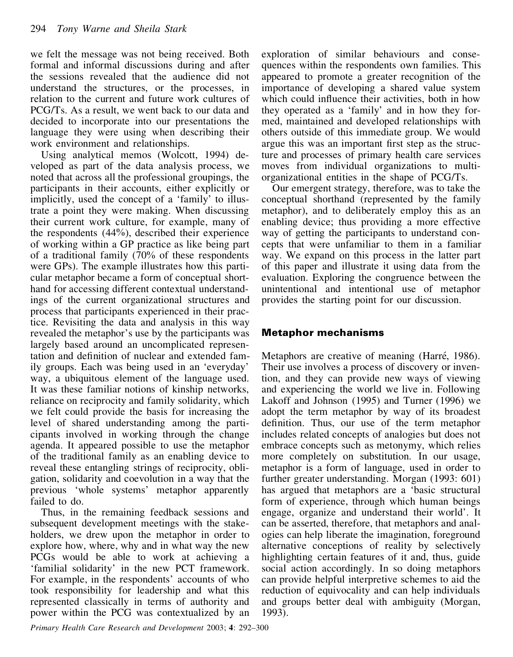we felt the message was not being received. Both formal and informal discussions during and after the sessions revealed that the audience did not understand the structures, or the processes, in relation to the current and future work cultures of PCG/Ts. As a result, we went back to our data and decided to incorporate into our presentations the language they were using when describing their work environment and relationships.

Using analytical memos (Wolcott, 1994) developed as part of the data analysis process, we noted that across all the professional groupings, the participants in their accounts, either explicitly or implicitly, used the concept of a 'family' to illustrate a point they were making. When discussing their current work culture, for example, many of the respondents (44%), described their experience of working within a GP practice as like being part of a traditional family (70% of these respondents were GPs). The example illustrates how this particular metaphor became a form of conceptual shorthand for accessing different contextual understandings of the current organizational structures and process that participants experienced in their practice. Revisiting the data and analysis in this way revealed the metaphor's use by the participants was largely based around an uncomplicated representation and definition of nuclear and extended family groups. Each was being used in an 'everyday' way, a ubiquitous element of the language used. It was these familiar notions of kinship networks, reliance on reciprocity and family solidarity, which we felt could provide the basis for increasing the level of shared understanding among the participants involved in working through the change agenda. It appeared possible to use the metaphor of the traditional family as an enabling device to reveal these entangling strings of reciprocity, obligation, solidarity and coevolution in a way that the previous 'whole systems' metaphor apparently failed to do.

Thus, in the remaining feedback sessions and subsequent development meetings with the stakeholders, we drew upon the metaphor in order to explore how, where, why and in what way the new PCGs would be able to work at achieving a 'familial solidarity' in the new PCT framework. For example, in the respondents' accounts of who took responsibility for leadership and what this represented classically in terms of authority and power within the PCG was contextualized by an exploration of similar behaviours and consequences within the respondents own families. This appeared to promote a greater recognition of the importance of developing a shared value system which could influence their activities, both in how they operated as a 'family' and in how they formed, maintained and developed relationships with others outside of this immediate group. We would argue this was an important first step as the structure and processes of primary health care services moves from individual organizations to multiorganizational entities in the shape of PCG/Ts.

Our emergent strategy, therefore, was to take the conceptual shorthand (represented by the family metaphor), and to deliberately employ this as an enabling device; thus providing a more effective way of getting the participants to understand concepts that were unfamiliar to them in a familiar way. We expand on this process in the latter part of this paper and illustrate it using data from the evaluation. Exploring the congruence between the unintentional and intentional use of metaphor provides the starting point for our discussion.

#### Metaphor mechanisms

Metaphors are creative of meaning (Harré, 1986). Their use involves a process of discovery or invention, and they can provide new ways of viewing and experiencing the world we live in. Following Lakoff and Johnson (1995) and Turner (1996) we adopt the term metaphor by way of its broadest definition. Thus, our use of the term metaphor includes related concepts of analogies but does not embrace concepts such as metonymy, which relies more completely on substitution. In our usage, metaphor is a form of language, used in order to further greater understanding. Morgan (1993: 601) has argued that metaphors are a 'basic structural form of experience, through which human beings engage, organize and understand their world'. It can be asserted, therefore, that metaphors and analogies can help liberate the imagination, foreground alternative conceptions of reality by selectively highlighting certain features of it and, thus, guide social action accordingly. In so doing metaphors can provide helpful interpretive schemes to aid the reduction of equivocality and can help individuals and groups better deal with ambiguity (Morgan, 1993).

*Primary Health Care Research and Development* 2003; **4**: 292–300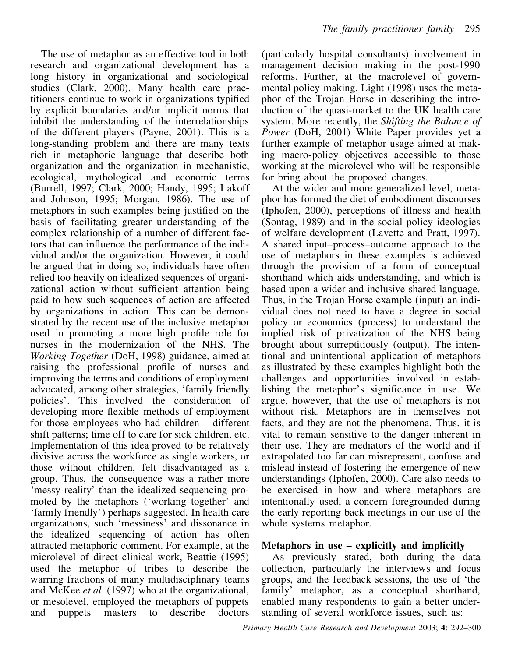The use of metaphor as an effective tool in both research and organizational development has a long history in organizational and sociological studies (Clark, 2000). Many health care practitioners continue to work in organizations typified by explicit boundaries and/or implicit norms that inhibit the understanding of the interrelationships of the different players (Payne, 2001). This is a long-standing problem and there are many texts rich in metaphoric language that describe both organization and the organization in mechanistic, ecological, mythological and economic terms (Burrell, 1997; Clark, 2000; Handy, 1995; Lakoff and Johnson, 1995; Morgan, 1986). The use of metaphors in such examples being justified on the basis of facilitating greater understanding of the complex relationship of a number of different factors that can influence the performance of the individual and/or the organization. However, it could be argued that in doing so, individuals have often relied too heavily on idealized sequences of organizational action without sufficient attention being paid to how such sequences of action are affected by organizations in action. This can be demonstrated by the recent use of the inclusive metaphor used in promoting a more high profile role for nurses in the modernization of the NHS. The *Working Together* (DoH, 1998) guidance, aimed at raising the professional profile of nurses and improving the terms and conditions of employment advocated, among other strategies, 'family friendly policies'. This involved the consideration of developing more flexible methods of employment for those employees who had children – different shift patterns; time off to care for sick children, etc. Implementation of this idea proved to be relatively divisive across the workforce as single workers, or those without children, felt disadvantaged as a group. Thus, the consequence was a rather more 'messy reality' than the idealized sequencing promoted by the metaphors ('working together' and 'family friendly') perhaps suggested. In health care organizations, such 'messiness' and dissonance in the idealized sequencing of action has often attracted metaphoric comment. For example, at the microlevel of direct clinical work, Beattie (1995) used the metaphor of tribes to describe the warring fractions of many multidisciplinary teams and McKee *et al*. (1997) who at the organizational, or mesolevel, employed the metaphors of puppets and puppets masters to describe doctors

(particularly hospital consultants) involvement in management decision making in the post-1990 reforms. Further, at the macrolevel of governmental policy making, Light (1998) uses the metaphor of the Trojan Horse in describing the introduction of the quasi-market to the UK health care system. More recently, the *Shifting the Balance of Power* (DoH, 2001) White Paper provides yet a further example of metaphor usage aimed at making macro-policy objectives accessible to those working at the microlevel who will be responsible for bring about the proposed changes.

At the wider and more generalized level, metaphor has formed the diet of embodiment discourses (Iphofen, 2000), perceptions of illness and health (Sontag, 1989) and in the social policy ideologies of welfare development (Lavette and Pratt, 1997). A shared input–process–outcome approach to the use of metaphors in these examples is achieved through the provision of a form of conceptual shorthand which aids understanding, and which is based upon a wider and inclusive shared language. Thus, in the Trojan Horse example (input) an individual does not need to have a degree in social policy or economics (process) to understand the implied risk of privatization of the NHS being brought about surreptitiously (output). The intentional and unintentional application of metaphors as illustrated by these examples highlight both the challenges and opportunities involved in establishing the metaphor's significance in use. We argue, however, that the use of metaphors is not without risk. Metaphors are in themselves not facts, and they are not the phenomena. Thus, it is vital to remain sensitive to the danger inherent in their use. They are mediators of the world and if extrapolated too far can misrepresent, confuse and mislead instead of fostering the emergence of new understandings (Iphofen, 2000). Care also needs to be exercised in how and where metaphors are intentionally used, a concern foregrounded during the early reporting back meetings in our use of the whole systems metaphor.

#### **Metaphors in use – explicitly and implicitly**

As previously stated, both during the data collection, particularly the interviews and focus groups, and the feedback sessions, the use of 'the family' metaphor, as a conceptual shorthand, enabled many respondents to gain a better understanding of several workforce issues, such as: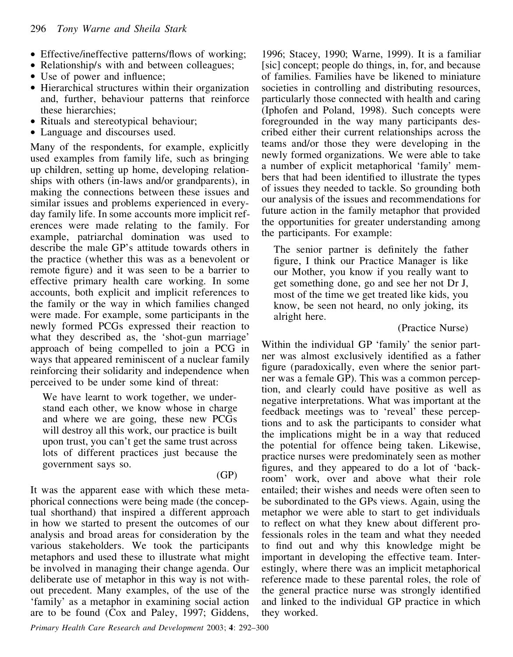- $\bullet$  Effective/ineffective patterns/flows of working;
- Relationship/s with and between colleagues;
- Use of power and influence;
- · Hierarchical structures within their organization and, further, behaviour patterns that reinforce these hierarchies;
- Rituals and stereotypical behaviour;
- · Language and discourses used.

Many of the respondents, for example, explicitly used examples from family life, such as bringing up children, setting up home, developing relationships with others (in-laws and/or grandparents), in making the connections between these issues and similar issues and problems experienced in everyday family life. In some accounts more implicit references were made relating to the family. For example, patriarchal domination was used to describe the male GP's attitude towards others in the practice (whether this was as a benevolent or remote figure) and it was seen to be a barrier to effective primary health care working. In some accounts, both explicit and implicit references to the family or the way in which families changed were made. For example, some participants in the newly formed PCGs expressed their reaction to what they described as, the 'shot-gun marriage' approach of being compelled to join a PCG in ways that appeared reminiscent of a nuclear family reinforcing their solidarity and independence when perceived to be under some kind of threat:

We have learnt to work together, we understand each other, we know whose in charge and where we are going, these new PCGs will destroy all this work, our practice is built upon trust, you can't get the same trust across lots of different practices just because the government says so.

#### (GP)

It was the apparent ease with which these metaphorical connections were being made (the conceptual shorthand) that inspired a different approach in how we started to present the outcomes of our analysis and broad areas for consideration by the various stakeholders. We took the participants metaphors and used these to illustrate what might be involved in managing their change agenda. Our deliberate use of metaphor in this way is not without precedent. Many examples, of the use of the 'family' as a metaphor in examining social action are to be found (Cox and Paley, 1997; Giddens,

*Primary Health Care Research and Development* 2003; **4**: 292–300

1996; Stacey, 1990; Warne, 1999). It is a familiar [sic] concept; people do things, in, for, and because of families. Families have be likened to miniature societies in controlling and distributing resources, particularly those connected with health and caring (Iphofen and Poland, 1998). Such concepts were foregrounded in the way many participants described either their current relationships across the teams and/or those they were developing in the newly formed organizations. We were able to take a number of explicit metaphorical 'family' members that had been identified to illustrate the types of issues they needed to tackle. So grounding both our analysis of the issues and recommendations for future action in the family metaphor that provided the opportunities for greater understanding among the participants. For example:

The senior partner is definitely the father figure, I think our Practice Manager is like our Mother, you know if you really want to get something done, go and see her not Dr J, most of the time we get treated like kids, you know, be seen not heard, no only joking, its alright here.

#### (Practice Nurse)

Within the individual GP 'family' the senior partner was almost exclusively identified as a father figure (paradoxically, even where the senior partner was a female GP). This was a common perception, and clearly could have positive as well as negative interpretations. What was important at the feedback meetings was to 'reveal' these perceptions and to ask the participants to consider what the implications might be in a way that reduced the potential for offence being taken. Likewise, practice nurses were predominately seen as mother figures, and they appeared to do a lot of 'backroom' work, over and above what their role entailed; their wishes and needs were often seen to be subordinated to the GPs views. Again, using the metaphor we were able to start to get individuals to reflect on what they knew about different professionals roles in the team and what they needed to find out and why this knowledge might be important in developing the effective team. Interestingly, where there was an implicit metaphorical reference made to these parental roles, the role of the general practice nurse was strongly identified and linked to the individual GP practice in which they worked.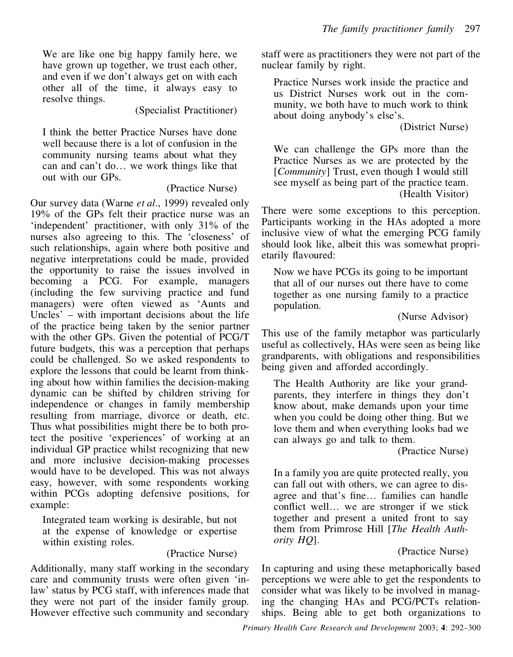We are like one big happy family here, we have grown up together, we trust each other, and even if we don't always get on with each other all of the time, it always easy to resolve things.

(Specialist Practitioner)

I think the better Practice Nurses have done well because there is a lot of confusion in the community nursing teams about what they can and can't do… we work things like that out with our GPs.

#### (Practice Nurse)

Our survey data (Warne *et al*., 1999) revealed only 19% of the GPs felt their practice nurse was an 'independent' practitioner, with only 31% of the nurses also agreeing to this. The 'closeness' of such relationships, again where both positive and negative interpretations could be made, provided the opportunity to raise the issues involved in becoming a PCG. For example, managers (including the few surviving practice and fund managers) were often viewed as 'Aunts and Uncles' – with important decisions about the life of the practice being taken by the senior partner with the other GPs. Given the potential of PCG/T future budgets, this was a perception that perhaps could be challenged. So we asked respondents to explore the lessons that could be learnt from thinking about how within families the decision-making dynamic can be shifted by children striving for independence or changes in family membership resulting from marriage, divorce or death, etc. Thus what possibilities might there be to both protect the positive 'experiences' of working at an individual GP practice whilst recognizing that new and more inclusive decision-making processes would have to be developed. This was not always easy, however, with some respondents working within PCGs adopting defensive positions, for example:

Integrated team working is desirable, but not at the expense of knowledge or expertise within existing roles.

#### (Practice Nurse)

Additionally, many staff working in the secondary care and community trusts were often given 'inlaw' status by PCG staff, with inferences made that they were not part of the insider family group. However effective such community and secondary

staff were as practitioners they were not part of the nuclear family by right.

Practice Nurses work inside the practice and us District Nurses work out in the community, we both have to much work to think about doing anybody's else's.

(District Nurse)

We can challenge the GPs more than the Practice Nurses as we are protected by the [*Community*] Trust, even though I would still see myself as being part of the practice team. (Health Visitor)

There were some exceptions to this perception. Participants working in the HAs adopted a more inclusive view of what the emerging PCG family should look like, albeit this was somewhat proprietarily flavoured:

Now we have PCGs its going to be important that all of our nurses out there have to come together as one nursing family to a practice population.

This use of the family metaphor was particularly useful as collectively, HAs were seen as being like grandparents, with obligations and responsibilities being given and afforded accordingly.

The Health Authority are like your grandparents, they interfere in things they don't know about, make demands upon your time when you could be doing other thing. But we love them and when everything looks bad we can always go and talk to them.

(Practice Nurse)

In a family you are quite protected really, you can fall out with others, we can agree to disagree and that's fine... families can handle conflict well... we are stronger if we stick together and present a united front to say them from Primrose Hill [*The Health Authority HQ*].

#### (Practice Nurse)

In capturing and using these metaphorically based perceptions we were able to get the respondents to consider what was likely to be involved in managing the changing HAs and PCG/PCTs relationships. Being able to get both organizations to

<sup>(</sup>Nurse Advisor)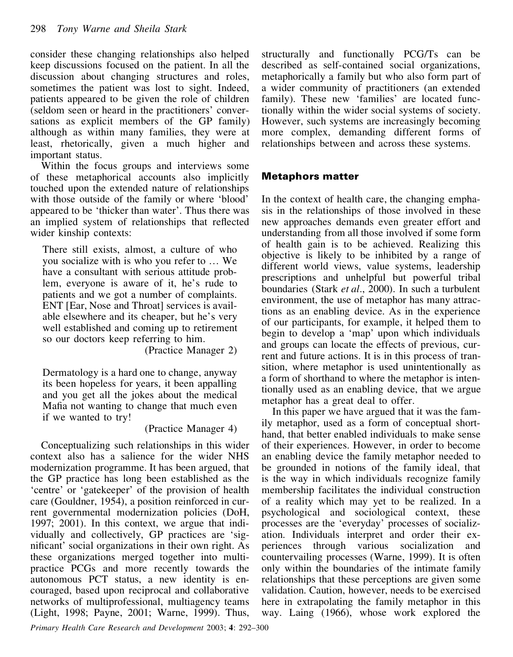consider these changing relationships also helped keep discussions focused on the patient. In all the discussion about changing structures and roles, sometimes the patient was lost to sight. Indeed, patients appeared to be given the role of children (seldom seen or heard in the practitioners' conversations as explicit members of the GP family) although as within many families, they were at least, rhetorically, given a much higher and important status.

Within the focus groups and interviews some of these metaphorical accounts also implicitly touched upon the extended nature of relationships with those outside of the family or where 'blood' appeared to be 'thicker than water'. Thus there was an implied system of relationships that reflected wider kinship contexts:

There still exists, almost, a culture of who you socialize with is who you refer to … We have a consultant with serious attitude problem, everyone is aware of it, he's rude to patients and we got a number of complaints. ENT [Ear, Nose and Throat] services is available elsewhere and its cheaper, but he's very well established and coming up to retirement so our doctors keep referring to him.

(Practice Manager 2)

Dermatology is a hard one to change, anyway its been hopeless for years, it been appalling and you get all the jokes about the medical Mafia not wanting to change that much even if we wanted to try!

(Practice Manager 4)

Conceptualizing such relationships in this wider context also has a salience for the wider NHS modernization programme. It has been argued, that the GP practice has long been established as the 'centre' or 'gatekeeper' of the provision of health care (Gouldner, 1954), a position reinforced in current governmental modernization policies (DoH, 1997; 2001). In this context, we argue that individually and collectively, GP practices are 'significant' social organizations in their own right. As these organizations merged together into multipractice PCGs and more recently towards the autonomous PCT status, a new identity is encouraged, based upon reciprocal and collaborative networks of multiprofessional, multiagency teams (Light, 1998; Payne, 2001; Warne, 1999). Thus,

*Primary Health Care Research and Development* 2003; **4**: 292–300

structurally and functionally PCG/Ts can be described as self-contained social organizations, metaphorically a family but who also form part of a wider community of practitioners (an extended family). These new 'families' are located functionally within the wider social systems of society. However, such systems are increasingly becoming more complex, demanding different forms of relationships between and across these systems.

#### Metaphors matter

In the context of health care, the changing emphasis in the relationships of those involved in these new approaches demands even greater effort and understanding from all those involved if some form of health gain is to be achieved. Realizing this objective is likely to be inhibited by a range of different world views, value systems, leadership prescriptions and unhelpful but powerful tribal boundaries (Stark *et al*., 2000). In such a turbulent environment, the use of metaphor has many attractions as an enabling device. As in the experience of our participants, for example, it helped them to begin to develop a 'map' upon which individuals and groups can locate the effects of previous, current and future actions. It is in this process of transition, where metaphor is used unintentionally as a form of shorthand to where the metaphor is intentionally used as an enabling device, that we argue metaphor has a great deal to offer.

In this paper we have argued that it was the family metaphor, used as a form of conceptual shorthand, that better enabled individuals to make sense of their experiences. However, in order to become an enabling device the family metaphor needed to be grounded in notions of the family ideal, that is the way in which individuals recognize family membership facilitates the individual construction of a reality which may yet to be realized. In a psychological and sociological context, these processes are the 'everyday' processes of socialization. Individuals interpret and order their experiences through various socialization and countervailing processes (Warne, 1999). It is often only within the boundaries of the intimate family relationships that these perceptions are given some validation. Caution, however, needs to be exercised here in extrapolating the family metaphor in this way. Laing (1966), whose work explored the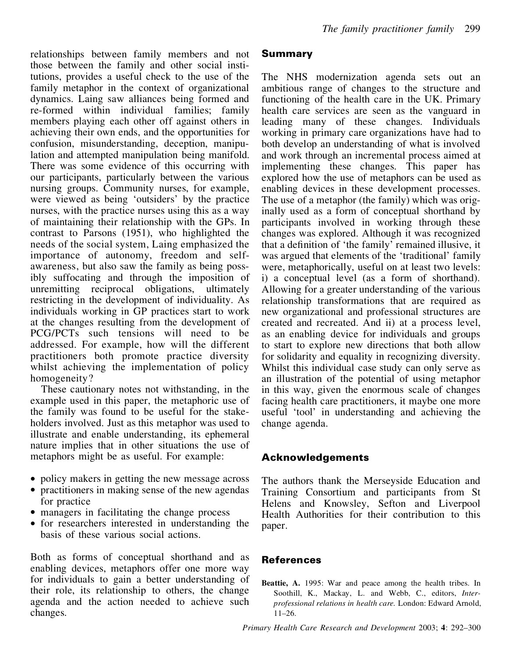relationships between family members and not those between the family and other social institutions, provides a useful check to the use of the family metaphor in the context of organizational dynamics. Laing saw alliances being formed and re-formed within individual families; family members playing each other off against others in achieving their own ends, and the opportunities for confusion, misunderstanding, deception, manipulation and attempted manipulation being manifold. There was some evidence of this occurring with our participants, particularly between the various nursing groups. Community nurses, for example, were viewed as being 'outsiders' by the practice nurses, with the practice nurses using this as a way of maintaining their relationship with the GPs. In contrast to Parsons (1951), who highlighted the needs of the social system, Laing emphasized the importance of autonomy, freedom and selfawareness, but also saw the family as being possibly suffocating and through the imposition of unremitting reciprocal obligations, ultimately restricting in the development of individuality. As individuals working in GP practices start to work at the changes resulting from the development of PCG/PCTs such tensions will need to be addressed. For example, how will the different practitioners both promote practice diversity whilst achieving the implementation of policy homogeneity?

These cautionary notes not withstanding, in the example used in this paper, the metaphoric use of the family was found to be useful for the stakeholders involved. Just as this metaphor was used to illustrate and enable understanding, its ephemeral nature implies that in other situations the use of metaphors might be as useful. For example:

- policy makers in getting the new message across
- practitioners in making sense of the new agendas for practice
- · managers in facilitating the change process
- for researchers interested in understanding the basis of these various social actions.

Both as forms of conceptual shorthand and as enabling devices, metaphors offer one more way for individuals to gain a better understanding of their role, its relationship to others, the change agenda and the action needed to achieve such changes.

#### Summary

The NHS modernization agenda sets out an ambitious range of changes to the structure and functioning of the health care in the UK. Primary health care services are seen as the vanguard in leading many of these changes. Individuals working in primary care organizations have had to both develop an understanding of what is involved and work through an incremental process aimed at implementing these changes. This paper has explored how the use of metaphors can be used as enabling devices in these development processes. The use of a metaphor (the family) which was originally used as a form of conceptual shorthand by participants involved in working through these changes was explored. Although it was recognized that a definition of 'the family' remained illusive, it was argued that elements of the 'traditional' family were, metaphorically, useful on at least two levels: i) a conceptual level (as a form of shorthand). Allowing for a greater understanding of the various relationship transformations that are required as new organizational and professional structures are created and recreated. And ii) at a process level, as an enabling device for individuals and groups to start to explore new directions that both allow for solidarity and equality in recognizing diversity. Whilst this individual case study can only serve as an illustration of the potential of using metaphor in this way, given the enormous scale of changes facing health care practitioners, it maybe one more useful 'tool' in understanding and achieving the change agenda.

#### Acknowledgements

The authors thank the Merseyside Education and Training Consortium and participants from St Helens and Knowsley, Sefton and Liverpool Health Authorities for their contribution to this paper.

#### **References**

**Beattie, A.** 1995: War and peace among the health tribes. In Soothill, K., Mackay, L. and Webb, C., editors, *Interprofessional relations in health care.* London: Edward Arnold, 11–26.